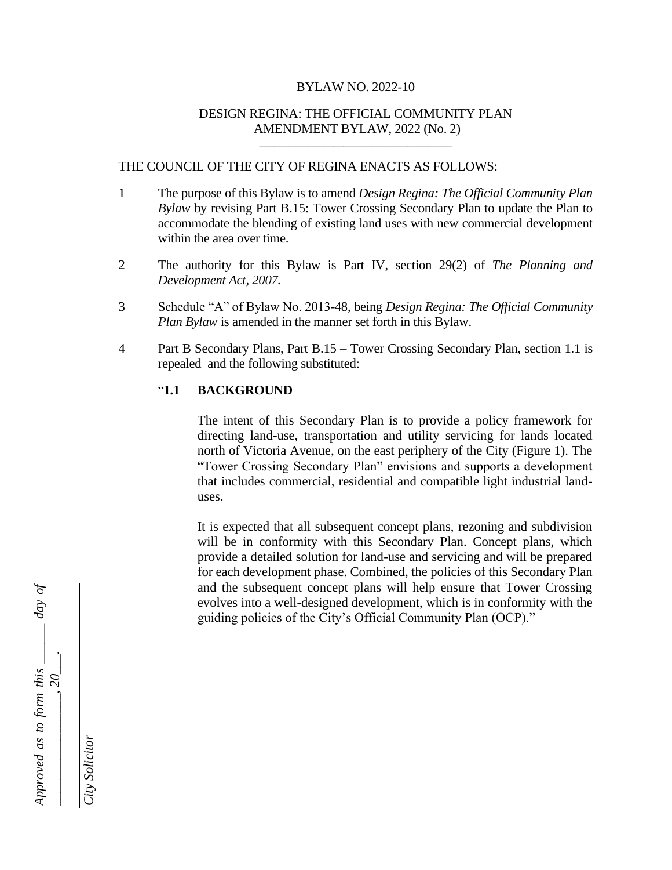#### BYLAW NO. 2022-10

#### DESIGN REGINA: THE OFFICIAL COMMUNITY PLAN AMENDMENT BYLAW, 2022 (No. 2) \_\_\_\_\_\_\_\_\_\_\_\_\_\_\_\_\_\_\_\_\_\_\_\_\_\_\_\_\_\_\_\_\_\_\_\_\_\_\_

### THE COUNCIL OF THE CITY OF REGINA ENACTS AS FOLLOWS:

- 1 The purpose of this Bylaw is to amend *Design Regina: The Official Community Plan Bylaw* by revising Part B.15: Tower Crossing Secondary Plan to update the Plan to accommodate the blending of existing land uses with new commercial development within the area over time.
- 2 The authority for this Bylaw is Part IV, section 29(2) of *The Planning and Development Act, 2007.*
- 3 Schedule "A" of Bylaw No. 2013-48, being *Design Regina: The Official Community Plan Bylaw* is amended in the manner set forth in this Bylaw.
- 4 Part B Secondary Plans, Part B.15 Tower Crossing Secondary Plan, section 1.1 is repealed and the following substituted:

### "**1.1 BACKGROUND**

The intent of this Secondary Plan is to provide a policy framework for directing land-use, transportation and utility servicing for lands located north of Victoria Avenue, on the east periphery of the City (Figure 1). The "Tower Crossing Secondary Plan" envisions and supports a development that includes commercial, residential and compatible light industrial landuses.

It is expected that all subsequent concept plans, rezoning and subdivision will be in conformity with this Secondary Plan. Concept plans, which provide a detailed solution for land-use and servicing and will be prepared for each development phase. Combined, the policies of this Secondary Plan and the subsequent concept plans will help ensure that Tower Crossing evolves into a well-designed development, which is in conformity with the guiding policies of the City's Official Community Plan (OCP)."



*City Solicitor*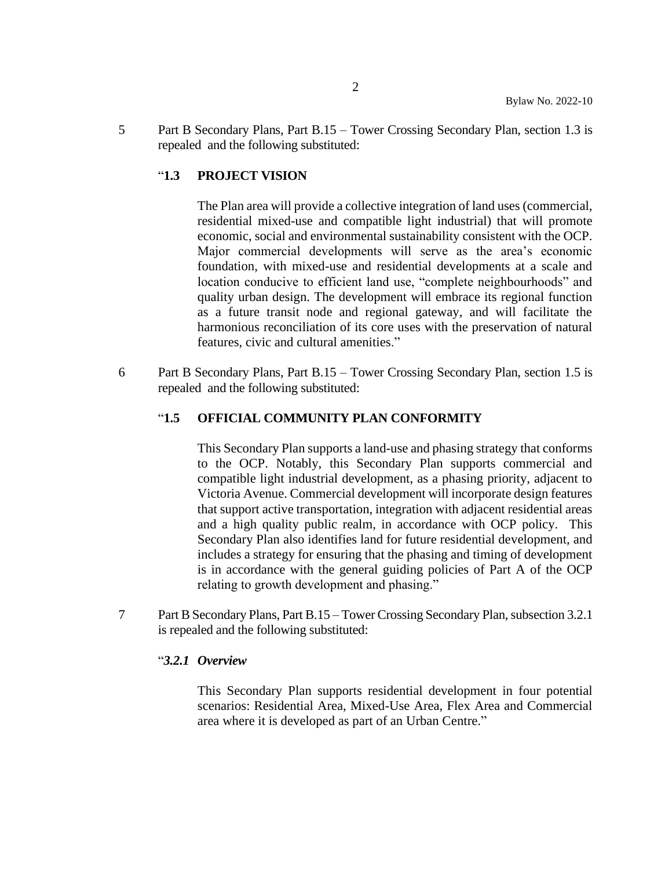5 Part B Secondary Plans, Part B.15 – Tower Crossing Secondary Plan, section 1.3 is repealed and the following substituted:

## "**1.3 PROJECT VISION**

The Plan area will provide a collective integration of land uses (commercial, residential mixed-use and compatible light industrial) that will promote economic, social and environmental sustainability consistent with the OCP. Major commercial developments will serve as the area's economic foundation, with mixed-use and residential developments at a scale and location conducive to efficient land use, "complete neighbourhoods" and quality urban design. The development will embrace its regional function as a future transit node and regional gateway, and will facilitate the harmonious reconciliation of its core uses with the preservation of natural features, civic and cultural amenities."

6 Part B Secondary Plans, Part B.15 – Tower Crossing Secondary Plan, section 1.5 is repealed and the following substituted:

## "**1.5 OFFICIAL COMMUNITY PLAN CONFORMITY**

This Secondary Plan supports a land-use and phasing strategy that conforms to the OCP. Notably, this Secondary Plan supports commercial and compatible light industrial development, as a phasing priority, adjacent to Victoria Avenue. Commercial development will incorporate design features that support active transportation, integration with adjacent residential areas and a high quality public realm, in accordance with OCP policy. This Secondary Plan also identifies land for future residential development, and includes a strategy for ensuring that the phasing and timing of development is in accordance with the general guiding policies of Part A of the OCP relating to growth development and phasing."

7 Part B Secondary Plans, Part B.15 – Tower Crossing Secondary Plan, subsection 3.2.1 is repealed and the following substituted:

## "*3.2.1 Overview*

This Secondary Plan supports residential development in four potential scenarios: Residential Area, Mixed-Use Area, Flex Area and Commercial area where it is developed as part of an Urban Centre."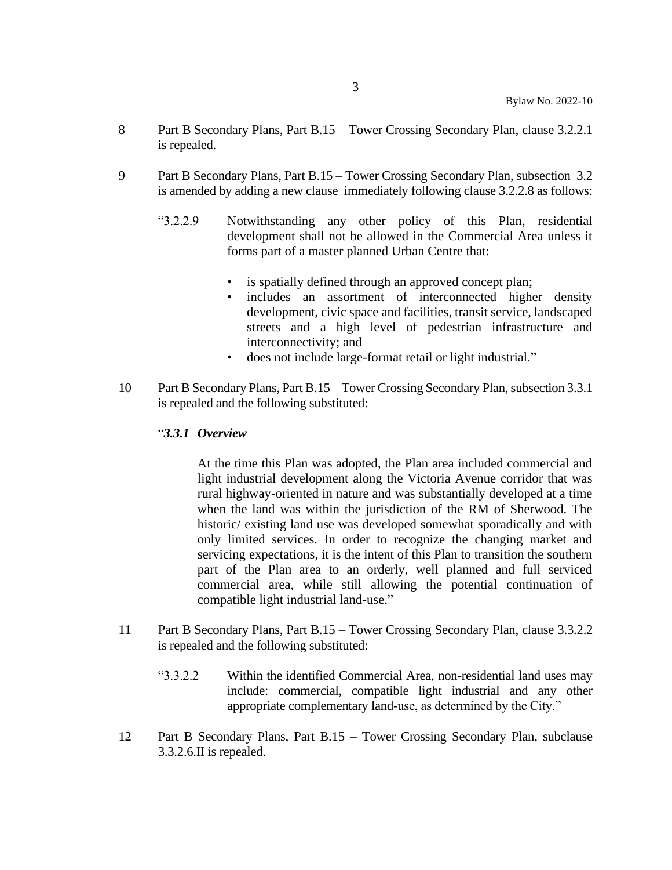- 8 Part B Secondary Plans, Part B.15 Tower Crossing Secondary Plan, clause 3.2.2.1 is repealed.
- 9 Part B Secondary Plans, Part B.15 Tower Crossing Secondary Plan, subsection 3.2 is amended by adding a new clause immediately following clause 3.2.2.8 as follows:
	- "3.2.2.9 Notwithstanding any other policy of this Plan, residential development shall not be allowed in the Commercial Area unless it forms part of a master planned Urban Centre that:
		- is spatially defined through an approved concept plan;
		- includes an assortment of interconnected higher density development, civic space and facilities, transit service, landscaped streets and a high level of pedestrian infrastructure and interconnectivity; and
		- does not include large-format retail or light industrial."
- 10 Part B Secondary Plans, Part B.15 Tower Crossing Secondary Plan, subsection 3.3.1 is repealed and the following substituted:

### "*3.3.1 Overview*

At the time this Plan was adopted, the Plan area included commercial and light industrial development along the Victoria Avenue corridor that was rural highway-oriented in nature and was substantially developed at a time when the land was within the jurisdiction of the RM of Sherwood. The historic/ existing land use was developed somewhat sporadically and with only limited services. In order to recognize the changing market and servicing expectations, it is the intent of this Plan to transition the southern part of the Plan area to an orderly, well planned and full serviced commercial area, while still allowing the potential continuation of compatible light industrial land-use."

- 11 Part B Secondary Plans, Part B.15 Tower Crossing Secondary Plan, clause 3.3.2.2 is repealed and the following substituted:
	- "3.3.2.2 Within the identified Commercial Area, non-residential land uses may include: commercial, compatible light industrial and any other appropriate complementary land-use, as determined by the City."
- 12 Part B Secondary Plans, Part B.15 Tower Crossing Secondary Plan, subclause 3.3.2.6.II is repealed.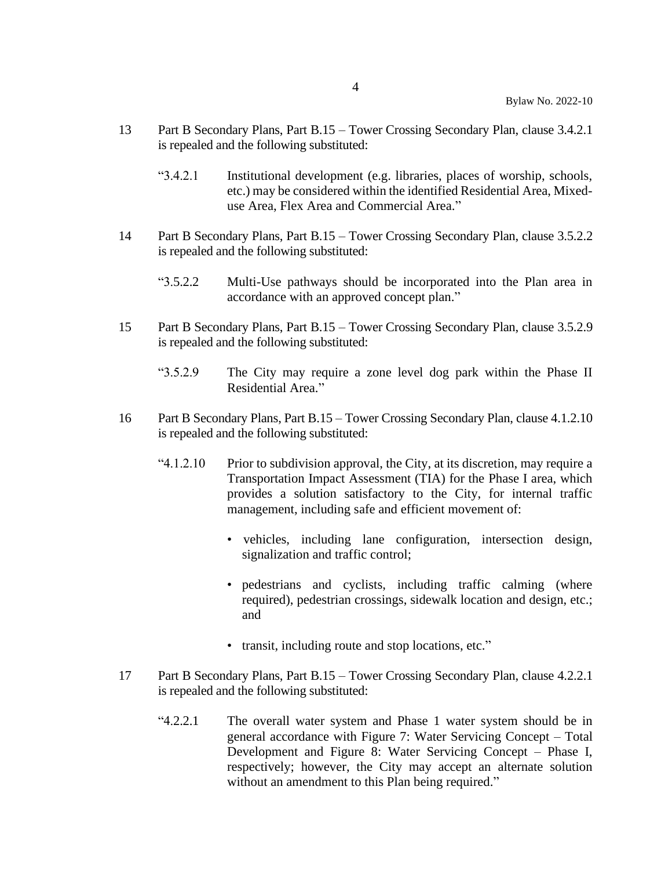- 13 Part B Secondary Plans, Part B.15 Tower Crossing Secondary Plan, clause 3.4.2.1 is repealed and the following substituted:
	- "3.4.2.1 Institutional development (e.g. libraries, places of worship, schools, etc.) may be considered within the identified Residential Area, Mixeduse Area, Flex Area and Commercial Area."
- 14 Part B Secondary Plans, Part B.15 Tower Crossing Secondary Plan, clause 3.5.2.2 is repealed and the following substituted:
	- "3.5.2.2 Multi-Use pathways should be incorporated into the Plan area in accordance with an approved concept plan."
- 15 Part B Secondary Plans, Part B.15 Tower Crossing Secondary Plan, clause 3.5.2.9 is repealed and the following substituted:
	- "3.5.2.9 The City may require a zone level dog park within the Phase II Residential Area."
- 16 Part B Secondary Plans, Part B.15 Tower Crossing Secondary Plan, clause 4.1.2.10 is repealed and the following substituted:
	- "4.1.2.10 Prior to subdivision approval, the City, at its discretion, may require a Transportation Impact Assessment (TIA) for the Phase I area, which provides a solution satisfactory to the City, for internal traffic management, including safe and efficient movement of:
		- vehicles, including lane configuration, intersection design, signalization and traffic control;
		- pedestrians and cyclists, including traffic calming (where required), pedestrian crossings, sidewalk location and design, etc.; and
		- transit, including route and stop locations, etc."
- 17 Part B Secondary Plans, Part B.15 Tower Crossing Secondary Plan, clause 4.2.2.1 is repealed and the following substituted:
	- "4.2.2.1 The overall water system and Phase 1 water system should be in general accordance with Figure 7: Water Servicing Concept – Total Development and Figure 8: Water Servicing Concept – Phase I, respectively; however, the City may accept an alternate solution without an amendment to this Plan being required."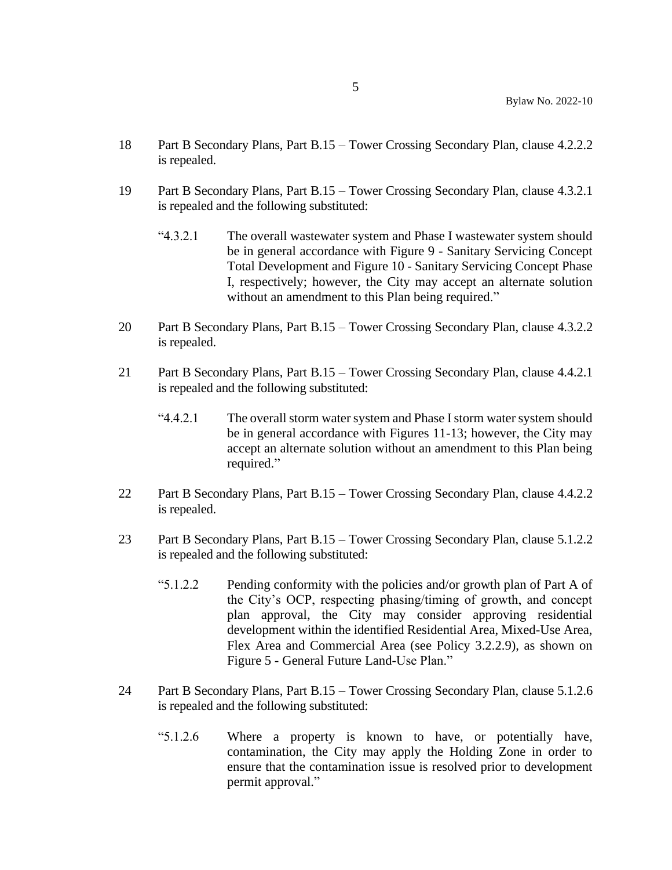- 18 Part B Secondary Plans, Part B.15 Tower Crossing Secondary Plan, clause 4.2.2.2 is repealed.
- 19 Part B Secondary Plans, Part B.15 Tower Crossing Secondary Plan, clause 4.3.2.1 is repealed and the following substituted:
	- "4.3.2.1 The overall wastewater system and Phase I wastewater system should be in general accordance with Figure 9 - Sanitary Servicing Concept Total Development and Figure 10 - Sanitary Servicing Concept Phase I, respectively; however, the City may accept an alternate solution without an amendment to this Plan being required."
- 20 Part B Secondary Plans, Part B.15 Tower Crossing Secondary Plan, clause 4.3.2.2 is repealed.
- 21 Part B Secondary Plans, Part B.15 Tower Crossing Secondary Plan, clause 4.4.2.1 is repealed and the following substituted:
	- "4.4.2.1 The overall storm water system and Phase I storm water system should be in general accordance with Figures 11-13; however, the City may accept an alternate solution without an amendment to this Plan being required."
- 22 Part B Secondary Plans, Part B.15 Tower Crossing Secondary Plan, clause 4.4.2.2 is repealed.
- 23 Part B Secondary Plans, Part B.15 Tower Crossing Secondary Plan, clause 5.1.2.2 is repealed and the following substituted:
	- "5.1.2.2 Pending conformity with the policies and/or growth plan of Part A of the City's OCP, respecting phasing/timing of growth, and concept plan approval, the City may consider approving residential development within the identified Residential Area, Mixed-Use Area, Flex Area and Commercial Area (see Policy 3.2.2.9), as shown on Figure 5 - General Future Land-Use Plan."
- 24 Part B Secondary Plans, Part B.15 Tower Crossing Secondary Plan, clause 5.1.2.6 is repealed and the following substituted:
	- "5.1.2.6 Where a property is known to have, or potentially have, contamination, the City may apply the Holding Zone in order to ensure that the contamination issue is resolved prior to development permit approval."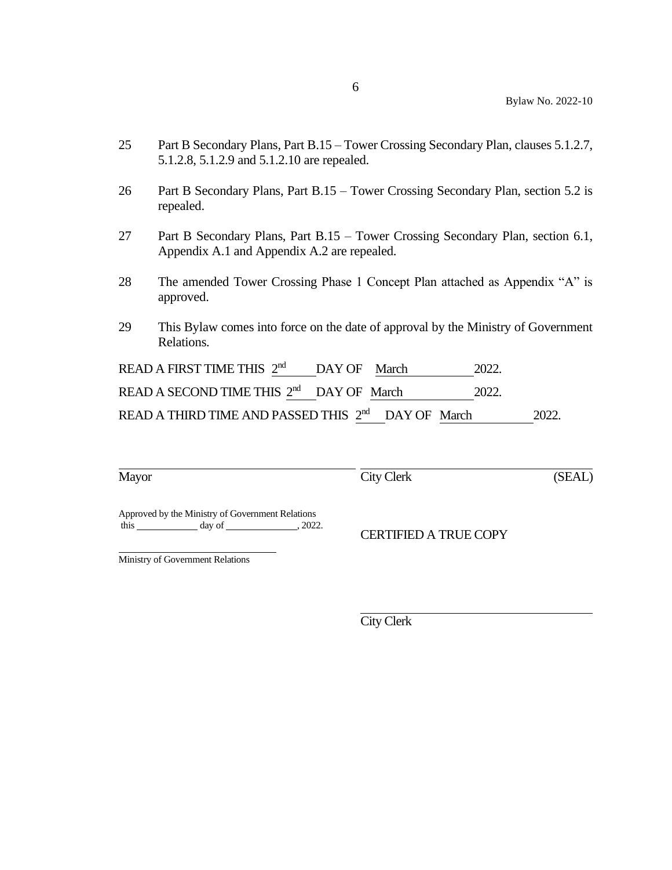- 25 Part B Secondary Plans, Part B.15 Tower Crossing Secondary Plan, clauses 5.1.2.7, 5.1.2.8, 5.1.2.9 and 5.1.2.10 are repealed.
- 26 Part B Secondary Plans, Part B.15 Tower Crossing Secondary Plan, section 5.2 is repealed.
- 27 Part B Secondary Plans, Part B.15 Tower Crossing Secondary Plan, section 6.1, Appendix A.1 and Appendix A.2 are repealed.
- 28 The amended Tower Crossing Phase 1 Concept Plan attached as Appendix "A" is approved.
- 29 This Bylaw comes into force on the date of approval by the Ministry of Government Relations.

| READ A FIRST TIME THIS $2^{nd}$ DAY OF March                   |  | 2022. |       |
|----------------------------------------------------------------|--|-------|-------|
| READ A SECOND TIME THIS 2 <sup>nd</sup> DAY OF March           |  | 2022. |       |
| READ A THIRD TIME AND PASSED THIS 2 <sup>nd</sup> DAY OF March |  |       | 2022. |

|--|

City Clerk (SEAL)

Approved by the Ministry of Government Relations this day of , 2022.

CERTIFIED A TRUE COPY

Ministry of Government Relations

City Clerk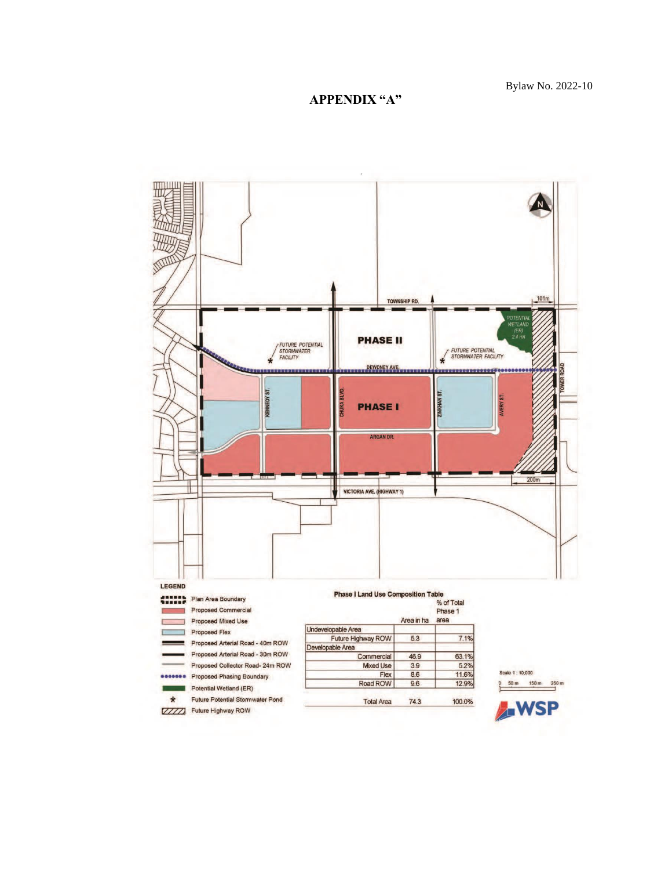## **APPENDIX "A"**